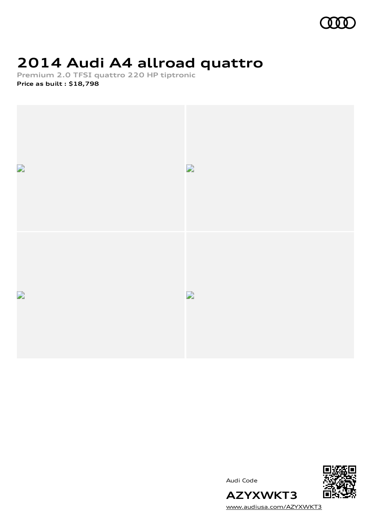

# **2014 Audi A4 allroad quattro**

**Premium 2.0 TFSI quattro 220 HP tiptronic Price as built [:](#page-9-0) \$18,798**



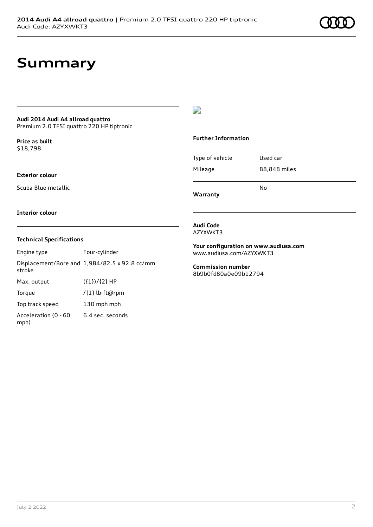## **Summary**

### **Audi 2014 Audi A4 allroad quattro**

Premium 2.0 TFSI quattro 220 HP tiptronic

**Price as buil[t](#page-9-0)** \$18,798

#### **Exterior colour**

Scuba Blue metallic

## D

#### **Further Information**

Type of vehicle Used car Mileage 88,848 miles No

**Warranty**

**Interior colour**

#### **Technical Specifications**

Engine type Four-cylinder Displacement/Bore and 1,984/82.5 x 92.8 cc/mm stroke Max. output  $({1})/{2}$  HP Torque /{1} lb-ft@rpm Top track speed 130 mph mph Acceleration (0 - 60 mph) 6.4 sec. seconds

**Audi Code** AZYXWKT3

**Your configuration on www.audiusa.com** [www.audiusa.com/AZYXWKT3](https://www.audiusa.com/AZYXWKT3)

**Commission number** 8b9b0fd80a0e09b12794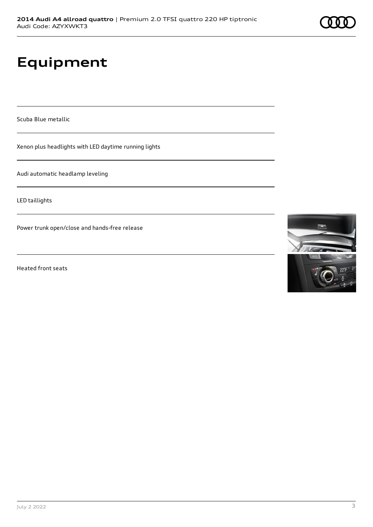# **Equipment**

Scuba Blue metallic

Xenon plus headlights with LED daytime running lights

Audi automatic headlamp leveling

LED taillights

Power trunk open/close and hands-free release

Heated front seats

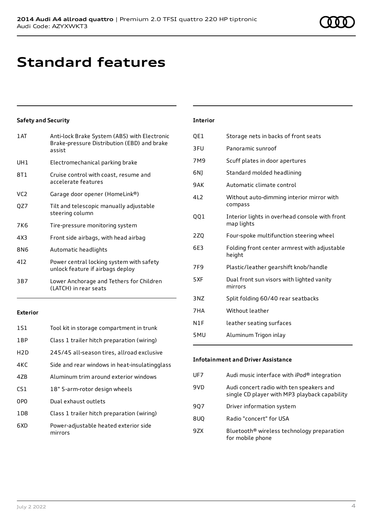# **Standard features**

### **Safety and Security**

| 1AT             | Anti-lock Brake System (ABS) with Electronic<br>Brake-pressure Distribution (EBD) and brake<br>assist |
|-----------------|-------------------------------------------------------------------------------------------------------|
| UH1             | Electromechanical parking brake                                                                       |
| 8T1             | Cruise control with coast, resume and<br>accelerate features                                          |
| VC <sub>2</sub> | Garage door opener (HomeLink®)                                                                        |
| QZ7             | Tilt and telescopic manually adjustable<br>steering column                                            |
| 7K6             | Tire-pressure monitoring system                                                                       |
| 4X3             | Front side airbags, with head airbag                                                                  |
| 8N6             | Automatic headlights                                                                                  |
| 412             | Power central locking system with safety<br>unlock feature if airbags deploy                          |
| 3B7             | Lower Anchorage and Tethers for Children<br>(LATCH) in rear seats                                     |
|                 |                                                                                                       |

#### **Exterior**

| <b>1S1</b>       | Tool kit in storage compartment in trunk         |
|------------------|--------------------------------------------------|
| 1 <sub>BP</sub>  | Class 1 trailer hitch preparation (wiring)       |
| H <sub>2</sub> D | 245/45 all-season tires, allroad exclusive       |
| 4KC              | Side and rear windows in heat-insulatingglass    |
| 47 <sub>B</sub>  | Aluminum trim around exterior windows            |
| CS <sub>1</sub>  | 18" 5-arm-rotor design wheels                    |
| 0P <sub>0</sub>  | Dual exhaust outlets                             |
| 1 D.B            | Class 1 trailer hitch preparation (wiring)       |
| 6XD              | Power-adjustable heated exterior side<br>mirrors |

### **Interior**

| QE1             | Storage nets in backs of front seats                         |
|-----------------|--------------------------------------------------------------|
| 3FU             | Panoramic sunroof                                            |
| 7M9             | Scuff plates in door apertures                               |
| 6N)             | Standard molded headlining                                   |
| 9AK             | Automatic climate control                                    |
| 4L2             | Without auto-dimming interior mirror with<br>compass         |
| 001             | Interior lights in overhead console with front<br>map lights |
| 2Z <sub>0</sub> | Four-spoke multifunction steering wheel                      |
| 6E3             | Folding front center armrest with adjustable<br>height       |
| 7F <sub>9</sub> | Plastic/leather gearshift knob/handle                        |
| 5XF             | Dual front sun visors with lighted vanity<br>mirrors         |
| 3NZ             | Split folding 60/40 rear seatbacks                           |
| 7HA             | Without leather                                              |
| N1F             | leather seating surfaces                                     |
| 5MU             | Aluminum Trigon inlay                                        |

## **Infotainment and Driver Assistance**

| UF7 | Audi music interface with iPod® integration                                               |
|-----|-------------------------------------------------------------------------------------------|
| 9VD | Audi concert radio with ten speakers and<br>single CD player with MP3 playback capability |
| 907 | Driver information system                                                                 |
| 8UQ | Radio "concert" for USA                                                                   |
| 97X | Bluetooth <sup>®</sup> wireless technology preparation<br>for mobile phone                |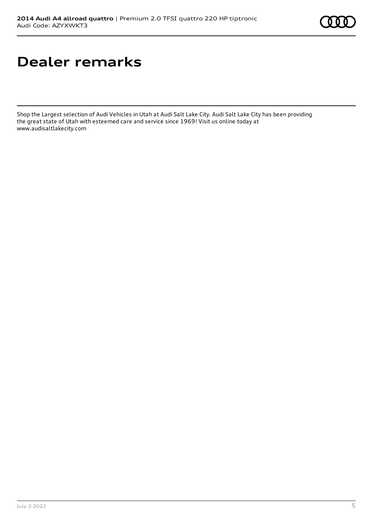# **Dealer remarks**

Shop the Largest selection of Audi Vehicles in Utah at Audi Salt Lake City. Audi Salt Lake City has been providing the great state of Utah with esteemed care and service since 1969! Visit us online today at www.audisaltlakecity.com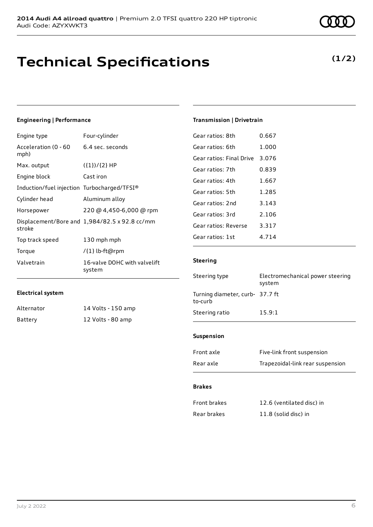## **Technical Specifications**

## **Engineering | Performance**

| Engine type                                 | Four-cylinder                                 |
|---------------------------------------------|-----------------------------------------------|
| Acceleration (0 - 60<br>mph)                | 6.4 sec. seconds                              |
| Max. output                                 | $({1})/{2}$ HP                                |
| Engine block                                | Cast iron                                     |
| Induction/fuel injection Turbocharged/TFSI® |                                               |
| Cylinder head                               | Aluminum alloy                                |
| Horsepower                                  | 220 @ 4,450-6,000 @ rpm                       |
| stroke                                      | Displacement/Bore and 1,984/82.5 x 92.8 cc/mm |
| Top track speed                             | 130 mph mph                                   |
| Torque                                      | /{1} lb-ft@rpm                                |
| Valvetrain                                  | 16-valve DOHC with valvelift<br>system        |

#### **Electrical system**

| Alternator | 14 Volts - 150 amp |
|------------|--------------------|
| Battery    | 12 Volts - 80 amp  |

## **Transmission | Drivetrain**

| Gear ratios: 8th         | 0.667   |
|--------------------------|---------|
| Gear ratios: 6th         | 1.000   |
| Gear ratios: Final Drive | 3.076   |
| Gear ratios: 7th         | 0.839   |
| Gear ratios: 4th         | 1.667   |
| Gear ratios: 5th         | 1.285   |
| Gear ratios: 2nd         | 3.143   |
| Gear ratios: 3rd         | 2.106   |
| Gear ratios: Reverse     | 3.317   |
| Gear ratios: 1st         | 4 7 1 4 |
|                          |         |

## **Steering**

| Steering type                              | Electromechanical power steering<br>system |  |
|--------------------------------------------|--------------------------------------------|--|
| Turning diameter, curb- 37.7 ft<br>to-curb |                                            |  |
| Steering ratio                             | 15.9:1                                     |  |
|                                            |                                            |  |

### **Suspension**

| Front axle | Five-link front suspension       |
|------------|----------------------------------|
| Rear axle  | Trapezoidal-link rear suspension |

#### **Brakes**

| Front brakes | 12.6 (ventilated disc) in |
|--------------|---------------------------|
| Rear brakes  | 11.8 (solid disc) in      |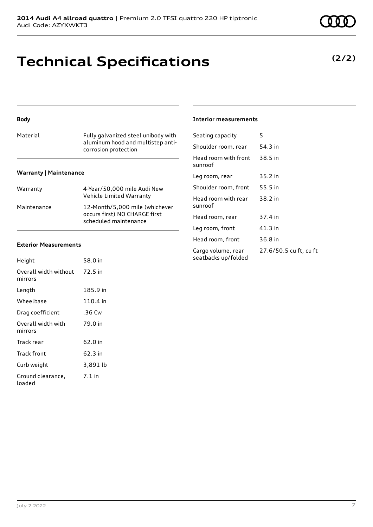## **Technical Specifications**

#### **Body**

| Material                      | Fully galvanized steel unibody with<br>aluminum hood and multistep anti-<br>corrosion protection |
|-------------------------------|--------------------------------------------------------------------------------------------------|
| <b>Warranty   Maintenance</b> |                                                                                                  |
| Warranty                      | 4-Year/50,000 mile Audi New<br>Vehicle Limited Warranty                                          |

Maintenance 12-Month/5,000 mile (whichever

occurs first) NO CHARGE first scheduled maintenance

#### **Exterior Measurements**

| Height                           | 58.0 in  |
|----------------------------------|----------|
| Overall width without<br>mirrors | 72.5 in  |
| Length                           | 185.9 in |
| Wheelbase                        | 110.4 in |
| Drag coefficient                 | .36 Cw   |
| Overall width with<br>mirrors    | 79.0 in  |
| Track rear                       | 62.0 in  |
| Track front                      | 62.3 in  |
| Curb weight                      | 3,891 lb |
| Ground clearance,<br>loaded      | $7.1$ in |

#### **Interior measurements**

| Seating capacity                          | 5                      |
|-------------------------------------------|------------------------|
| Shoulder room, rear                       | 54.3 in                |
| Head room with front<br>sunroof           | 38.5 in                |
| Leg room, rear                            | 35.2 in                |
| Shoulder room, front                      | 55.5 in                |
| Head room with rear<br>sunroof            | 38.2 in                |
| Head room, rear                           | 37.4 in                |
| Leg room, front                           | 41.3 in                |
| Head room, front                          | 36.8 in                |
| Cargo volume, rear<br>seatbacks up/folded | 27.6/50.5 cu ft, cu ft |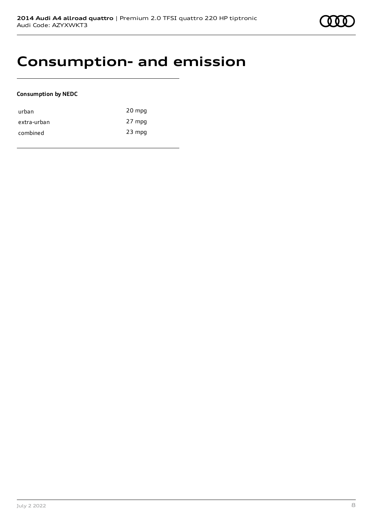## **Consumption- and emission**

#### **Consumption by NEDC**

| urban       | 20 mpg   |
|-------------|----------|
| extra-urban | 27 mpg   |
| combined    | $23$ mpg |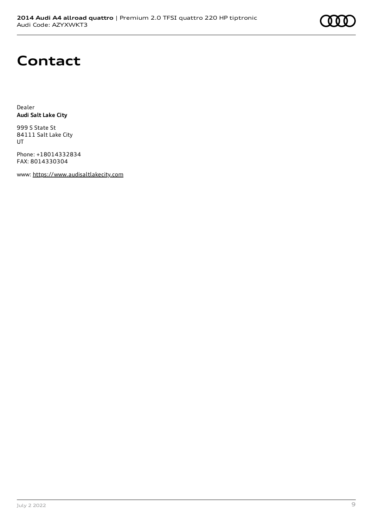# **Contact**

Dealer **Audi Salt Lake City**

999 S State St 84111 Salt Lake City UT

Phone: +18014332834 FAX: 8014330304

www: [https://www.audisaltlakecity.com](https://www.audisaltlakecity.com/)